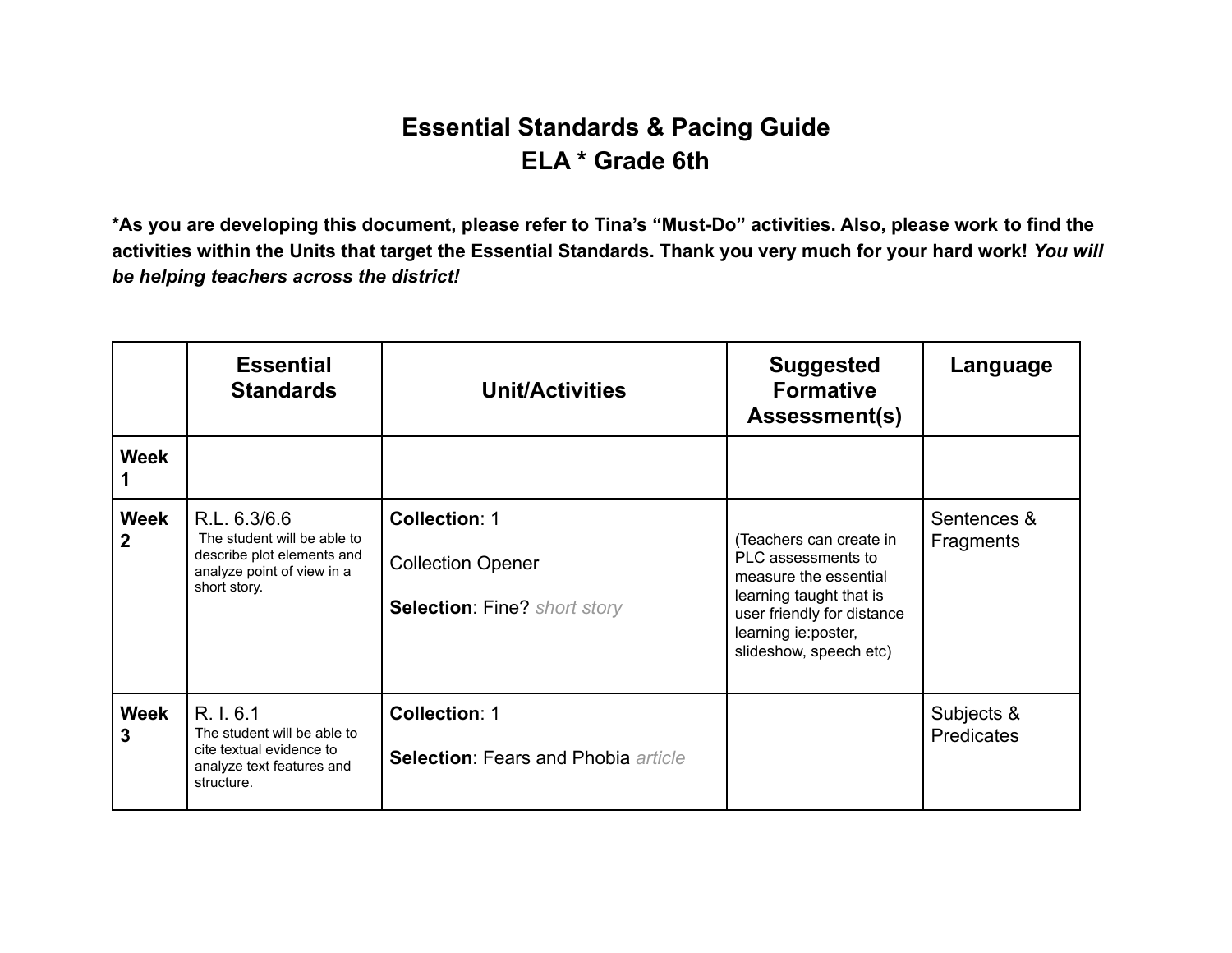## **Essential Standards & Pacing Guide ELA \* Grade 6th**

**\*As you are developing this document, please refer to Tina's "Must-Do" activities. Also, please work to find the activities within the Units that target the Essential Standards. Thank you very much for your hard work!** *You will be helping teachers across the district!*

|                             | <b>Essential</b><br><b>Standards</b>                                                                                    | <b>Unit/Activities</b>                                                                  | <b>Suggested</b><br><b>Formative</b><br>Assessment(s)                                                                                                                             | Language                        |
|-----------------------------|-------------------------------------------------------------------------------------------------------------------------|-----------------------------------------------------------------------------------------|-----------------------------------------------------------------------------------------------------------------------------------------------------------------------------------|---------------------------------|
| <b>Week</b>                 |                                                                                                                         |                                                                                         |                                                                                                                                                                                   |                                 |
| <b>Week</b><br>$\mathbf{2}$ | R.L. 6.3/6.6<br>The student will be able to<br>describe plot elements and<br>analyze point of view in a<br>short story. | <b>Collection: 1</b><br><b>Collection Opener</b><br><b>Selection: Fine? short story</b> | (Teachers can create in<br>PLC assessments to<br>measure the essential<br>learning taught that is<br>user friendly for distance<br>learning ie: poster,<br>slideshow, speech etc) | Sentences &<br><b>Fragments</b> |
| <b>Week</b><br>3            | R. I. 6.1<br>The student will be able to<br>cite textual evidence to<br>analyze text features and<br>structure.         | <b>Collection: 1</b><br><b>Selection: Fears and Phobia article</b>                      |                                                                                                                                                                                   | Subjects &<br>Predicates        |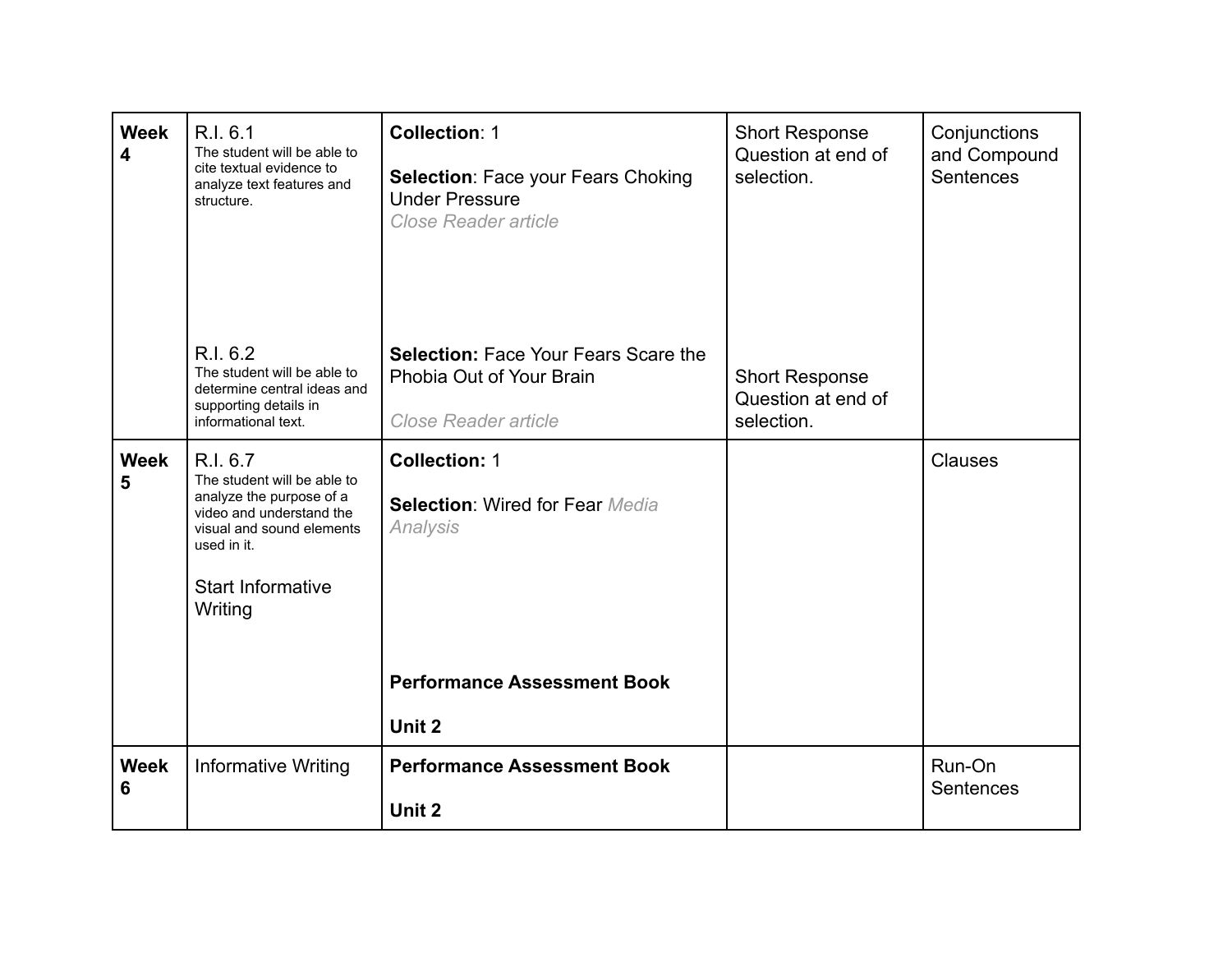| <b>Week</b><br>4 | R.I. 6.1<br>The student will be able to<br>cite textual evidence to<br>analyze text features and<br>structure.                                                                     | <b>Collection: 1</b><br><b>Selection: Face your Fears Choking</b><br><b>Under Pressure</b><br>Close Reader article | <b>Short Response</b><br>Question at end of<br>selection. | Conjunctions<br>and Compound<br>Sentences |
|------------------|------------------------------------------------------------------------------------------------------------------------------------------------------------------------------------|--------------------------------------------------------------------------------------------------------------------|-----------------------------------------------------------|-------------------------------------------|
|                  | R.I. 6.2<br>The student will be able to<br>determine central ideas and<br>supporting details in<br>informational text.                                                             | <b>Selection: Face Your Fears Scare the</b><br>Phobia Out of Your Brain<br>Close Reader article                    | <b>Short Response</b><br>Question at end of<br>selection. |                                           |
| <b>Week</b><br>5 | R.I. 6.7<br>The student will be able to<br>analyze the purpose of a<br>video and understand the<br>visual and sound elements<br>used in it.<br><b>Start Informative</b><br>Writing | <b>Collection: 1</b><br><b>Selection: Wired for Fear Media</b><br>Analysis                                         |                                                           | <b>Clauses</b>                            |
|                  |                                                                                                                                                                                    | <b>Performance Assessment Book</b><br>Unit 2                                                                       |                                                           |                                           |
| <b>Week</b><br>6 | <b>Informative Writing</b>                                                                                                                                                         | <b>Performance Assessment Book</b><br>Unit 2                                                                       |                                                           | Run-On<br><b>Sentences</b>                |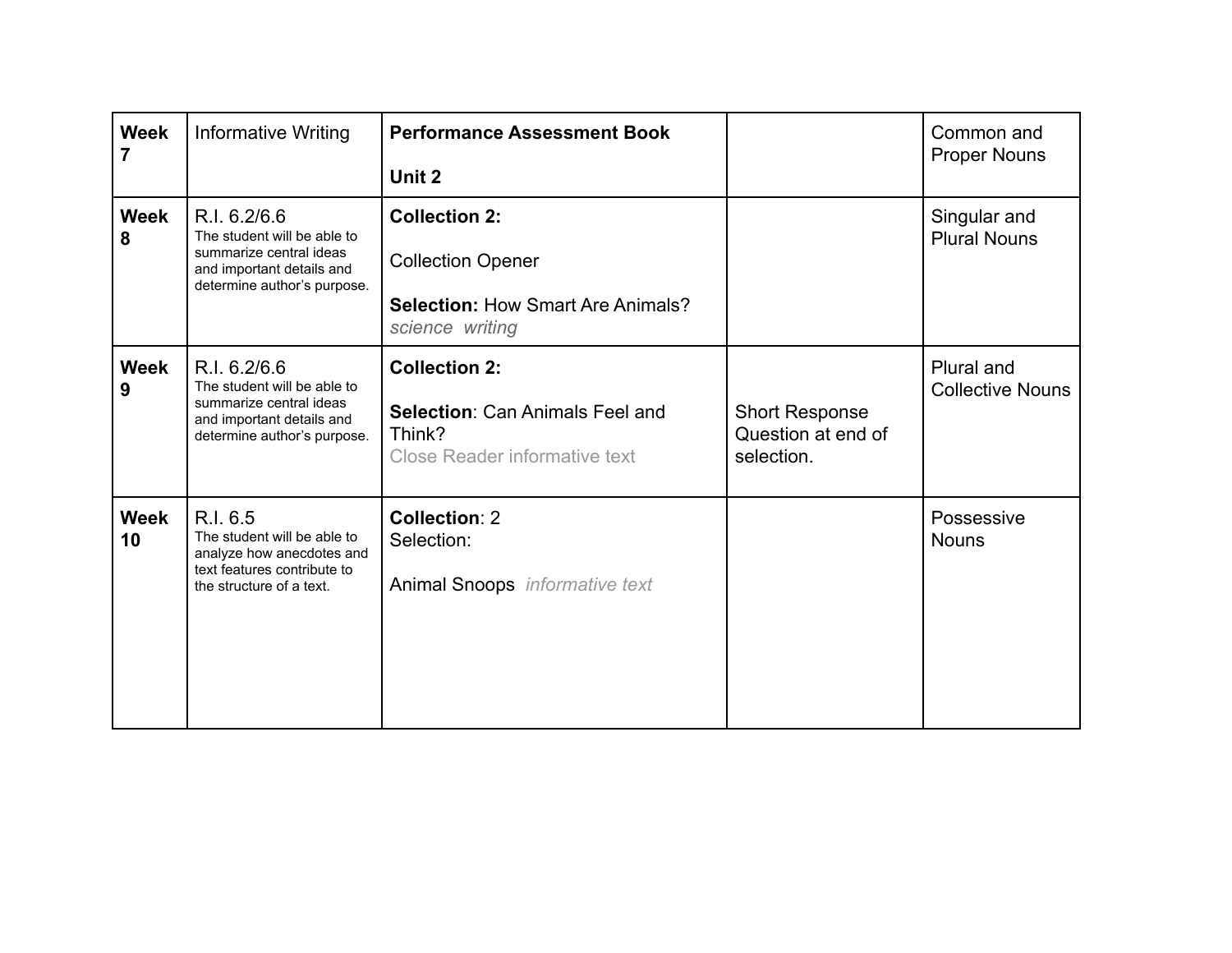| <b>Week</b>       | <b>Informative Writing</b>                                                                                                         | <b>Performance Assessment Book</b><br>Unit 2                                                                    |                                                           | Common and<br><b>Proper Nouns</b>     |
|-------------------|------------------------------------------------------------------------------------------------------------------------------------|-----------------------------------------------------------------------------------------------------------------|-----------------------------------------------------------|---------------------------------------|
| <b>Week</b><br>8  | R.I. 6.2/6.6<br>The student will be able to<br>summarize central ideas<br>and important details and<br>determine author's purpose. | <b>Collection 2:</b><br><b>Collection Opener</b><br><b>Selection: How Smart Are Animals?</b><br>science writing |                                                           | Singular and<br><b>Plural Nouns</b>   |
| <b>Week</b><br>9  | R.I. 6.2/6.6<br>The student will be able to<br>summarize central ideas<br>and important details and<br>determine author's purpose. | <b>Collection 2:</b><br><b>Selection: Can Animals Feel and</b><br>Think?<br>Close Reader informative text       | <b>Short Response</b><br>Question at end of<br>selection. | Plural and<br><b>Collective Nouns</b> |
| <b>Week</b><br>10 | R.I. 6.5<br>The student will be able to<br>analyze how anecdotes and<br>text features contribute to<br>the structure of a text.    | <b>Collection: 2</b><br>Selection:<br><b>Animal Snoops</b> informative text                                     |                                                           | Possessive<br><b>Nouns</b>            |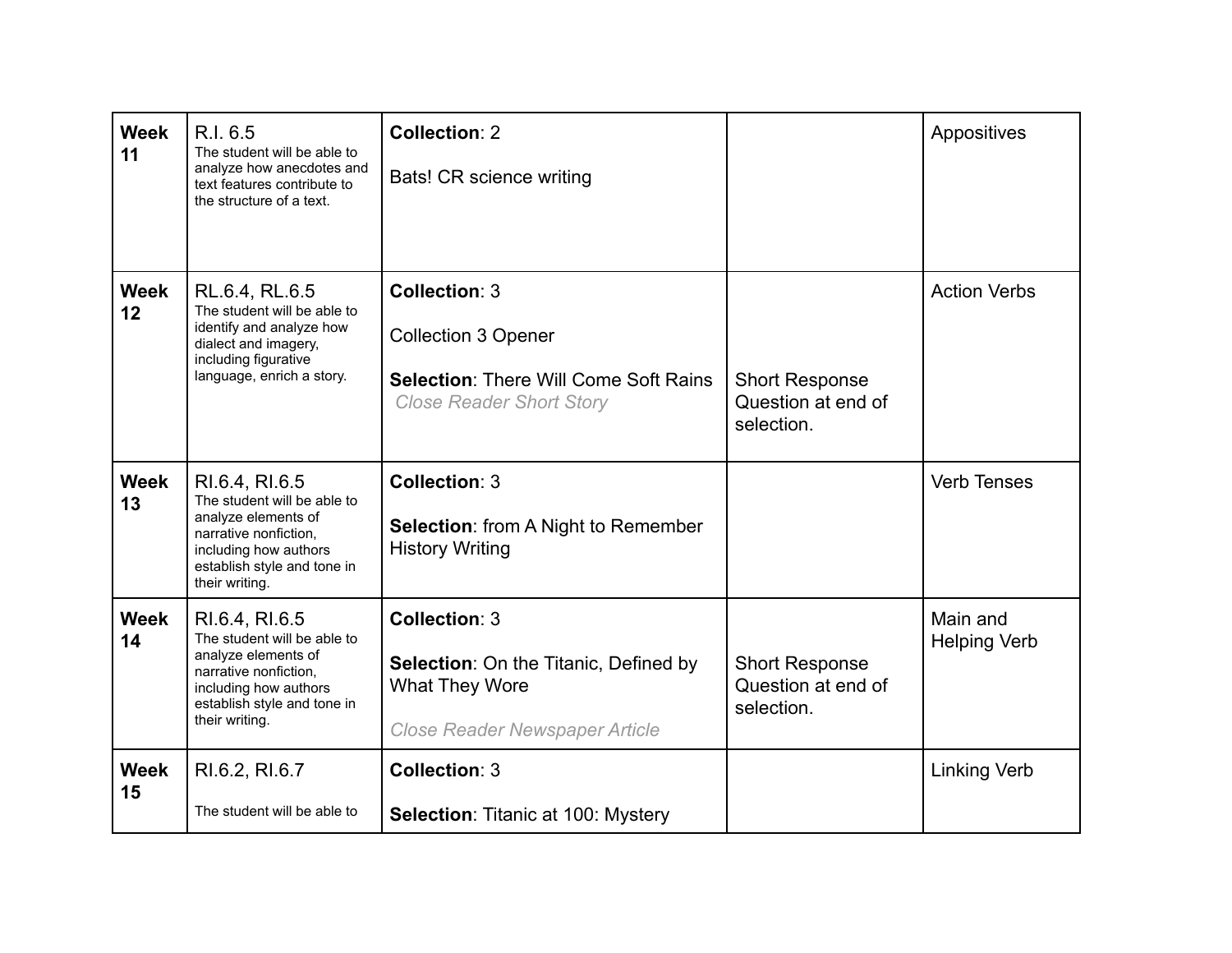| <b>Week</b><br>11 | R.I. 6.5<br>The student will be able to<br>analyze how anecdotes and<br>text features contribute to<br>the structure of a text.                                         | <b>Collection: 2</b><br>Bats! CR science writing                                                                                      |                                                           | Appositives                     |
|-------------------|-------------------------------------------------------------------------------------------------------------------------------------------------------------------------|---------------------------------------------------------------------------------------------------------------------------------------|-----------------------------------------------------------|---------------------------------|
| <b>Week</b><br>12 | RL.6.4, RL.6.5<br>The student will be able to<br>identify and analyze how<br>dialect and imagery,<br>including figurative<br>language, enrich a story.                  | <b>Collection: 3</b><br><b>Collection 3 Opener</b><br><b>Selection: There Will Come Soft Rains</b><br><b>Close Reader Short Story</b> | <b>Short Response</b><br>Question at end of<br>selection. | <b>Action Verbs</b>             |
| <b>Week</b><br>13 | RI.6.4, RI.6.5<br>The student will be able to<br>analyze elements of<br>narrative nonfiction,<br>including how authors<br>establish style and tone in<br>their writing. | <b>Collection: 3</b><br><b>Selection:</b> from A Night to Remember<br><b>History Writing</b>                                          |                                                           | <b>Verb Tenses</b>              |
| <b>Week</b><br>14 | RI.6.4, RI.6.5<br>The student will be able to<br>analyze elements of<br>narrative nonfiction,<br>including how authors<br>establish style and tone in<br>their writing. | <b>Collection: 3</b><br>Selection: On the Titanic, Defined by<br><b>What They Wore</b><br><b>Close Reader Newspaper Article</b>       | <b>Short Response</b><br>Question at end of<br>selection. | Main and<br><b>Helping Verb</b> |
| <b>Week</b><br>15 | RI.6.2, RI.6.7<br>The student will be able to                                                                                                                           | <b>Collection: 3</b><br><b>Selection: Titanic at 100: Mystery</b>                                                                     |                                                           | <b>Linking Verb</b>             |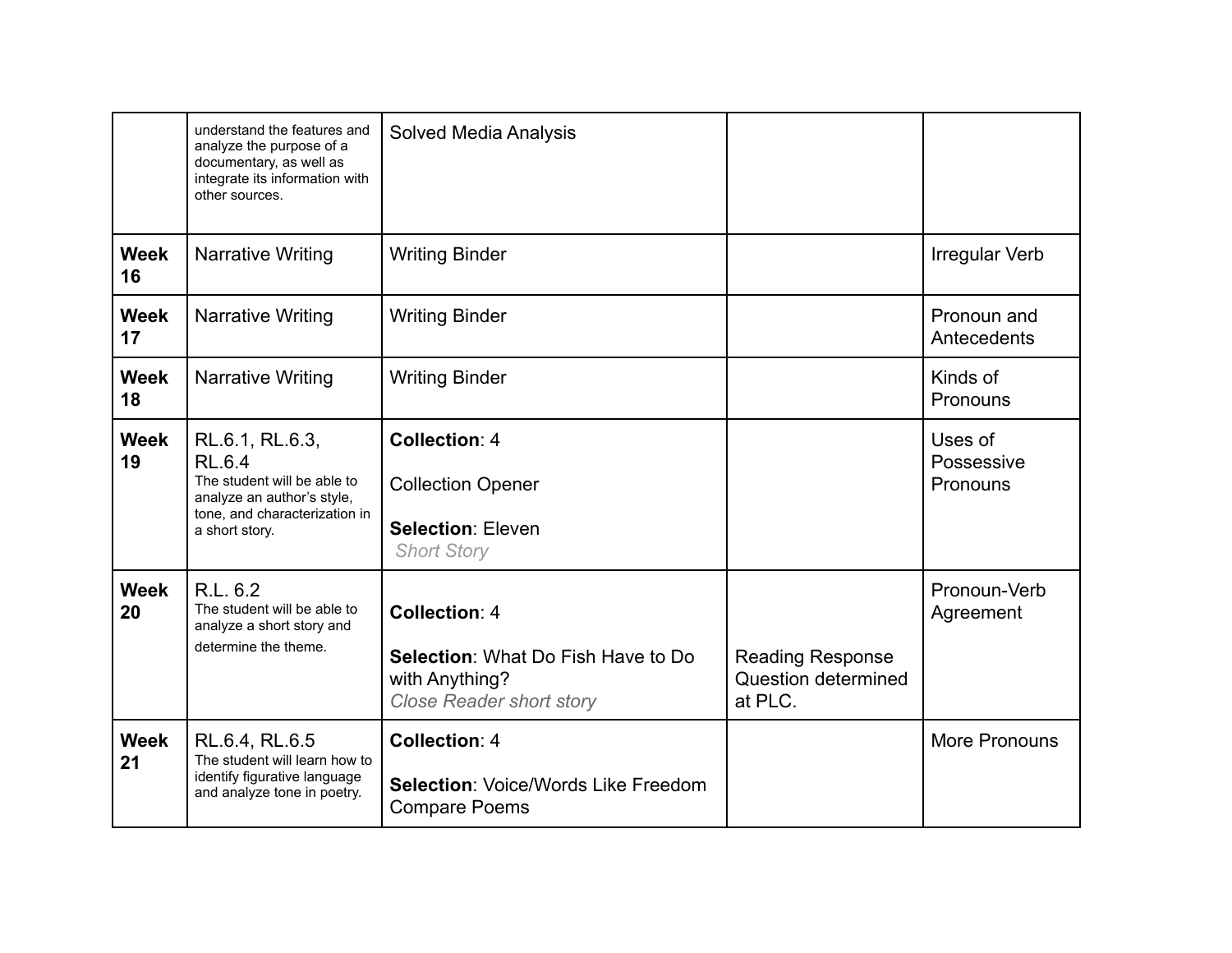|                   | understand the features and<br>analyze the purpose of a<br>documentary, as well as<br>integrate its information with<br>other sources.           | <b>Solved Media Analysis</b>                                                                                    |                                                           |                                   |
|-------------------|--------------------------------------------------------------------------------------------------------------------------------------------------|-----------------------------------------------------------------------------------------------------------------|-----------------------------------------------------------|-----------------------------------|
| <b>Week</b><br>16 | <b>Narrative Writing</b>                                                                                                                         | <b>Writing Binder</b>                                                                                           |                                                           | <b>Irregular Verb</b>             |
| Week<br>17        | <b>Narrative Writing</b>                                                                                                                         | <b>Writing Binder</b>                                                                                           |                                                           | Pronoun and<br>Antecedents        |
| <b>Week</b><br>18 | <b>Narrative Writing</b>                                                                                                                         | <b>Writing Binder</b>                                                                                           |                                                           | Kinds of<br>Pronouns              |
| <b>Week</b><br>19 | RL.6.1, RL.6.3,<br><b>RL.6.4</b><br>The student will be able to<br>analyze an author's style,<br>tone, and characterization in<br>a short story. | <b>Collection: 4</b><br><b>Collection Opener</b><br><b>Selection: Eleven</b><br><b>Short Story</b>              |                                                           | Uses of<br>Possessive<br>Pronouns |
| <b>Week</b><br>20 | R.L. 6.2<br>The student will be able to<br>analyze a short story and<br>determine the theme.                                                     | <b>Collection: 4</b><br>Selection: What Do Fish Have to Do<br>with Anything?<br><b>Close Reader short story</b> | <b>Reading Response</b><br>Question determined<br>at PLC. | Pronoun-Verb<br>Agreement         |
| Week<br>21        | RL.6.4, RL.6.5<br>The student will learn how to<br>identify figurative language<br>and analyze tone in poetry.                                   | <b>Collection: 4</b><br><b>Selection: Voice/Words Like Freedom</b><br><b>Compare Poems</b>                      |                                                           | More Pronouns                     |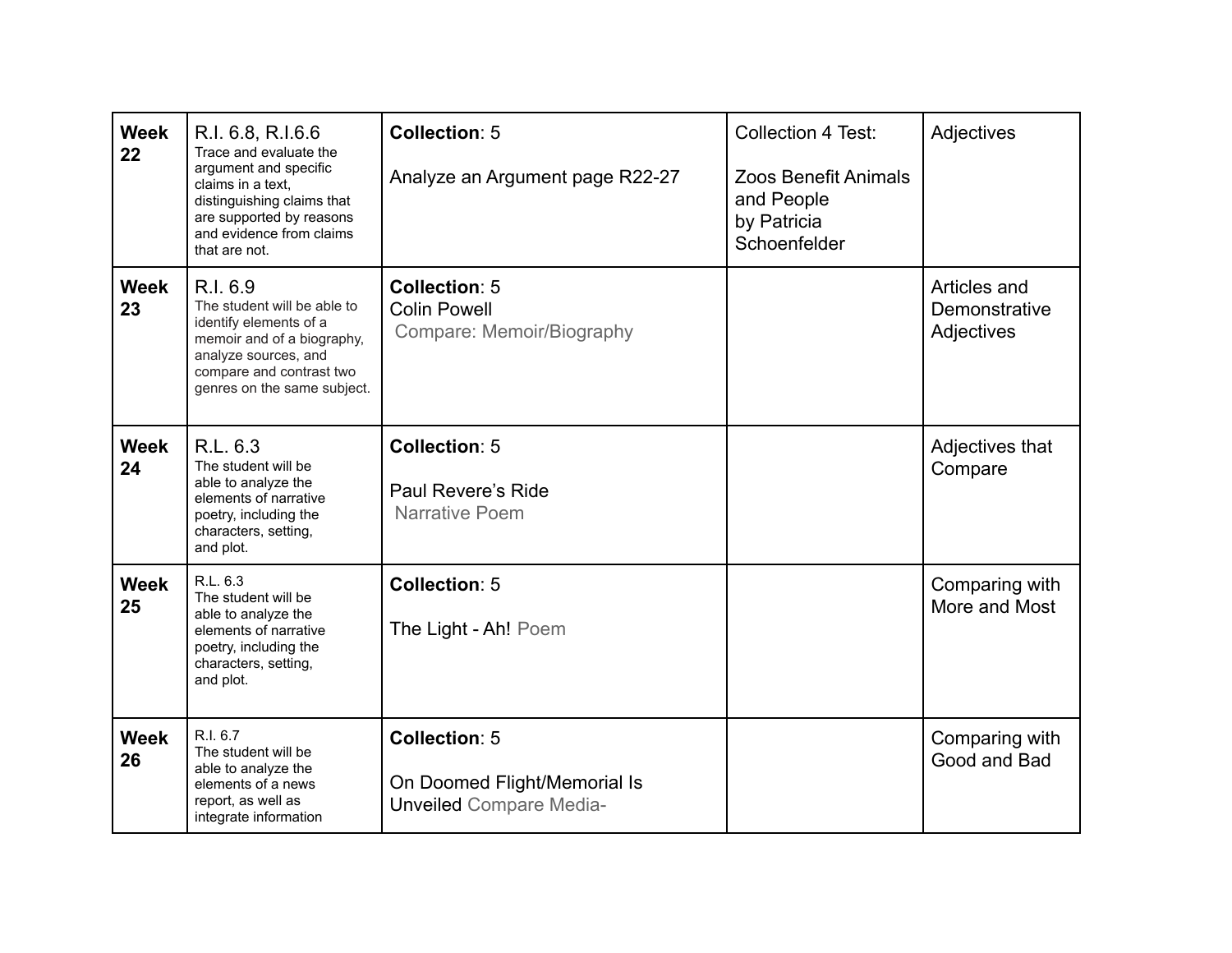| <b>Week</b><br>22 | R.I. 6.8, R.I.6.6<br>Trace and evaluate the<br>argument and specific<br>claims in a text,<br>distinguishing claims that<br>are supported by reasons<br>and evidence from claims<br>that are not. | <b>Collection: 5</b><br>Analyze an Argument page R22-27                                | <b>Collection 4 Test:</b><br><b>Zoos Benefit Animals</b><br>and People<br>by Patricia<br>Schoenfelder | Adjectives                                  |
|-------------------|--------------------------------------------------------------------------------------------------------------------------------------------------------------------------------------------------|----------------------------------------------------------------------------------------|-------------------------------------------------------------------------------------------------------|---------------------------------------------|
| <b>Week</b><br>23 | R.I. 6.9<br>The student will be able to<br>identify elements of a<br>memoir and of a biography,<br>analyze sources, and<br>compare and contrast two<br>genres on the same subject.               | <b>Collection: 5</b><br><b>Colin Powell</b><br>Compare: Memoir/Biography               |                                                                                                       | Articles and<br>Demonstrative<br>Adjectives |
| <b>Week</b><br>24 | R.L. 6.3<br>The student will be<br>able to analyze the<br>elements of narrative<br>poetry, including the<br>characters, setting,<br>and plot.                                                    | <b>Collection: 5</b><br>Paul Revere's Ride<br><b>Narrative Poem</b>                    |                                                                                                       | Adjectives that<br>Compare                  |
| <b>Week</b><br>25 | R.L. 6.3<br>The student will be<br>able to analyze the<br>elements of narrative<br>poetry, including the<br>characters, setting,<br>and plot.                                                    | <b>Collection: 5</b><br>The Light - Ah! Poem                                           |                                                                                                       | Comparing with<br>More and Most             |
| <b>Week</b><br>26 | R.I. 6.7<br>The student will be<br>able to analyze the<br>elements of a news<br>report, as well as<br>integrate information                                                                      | <b>Collection: 5</b><br>On Doomed Flight/Memorial Is<br><b>Unveiled Compare Media-</b> |                                                                                                       | Comparing with<br>Good and Bad              |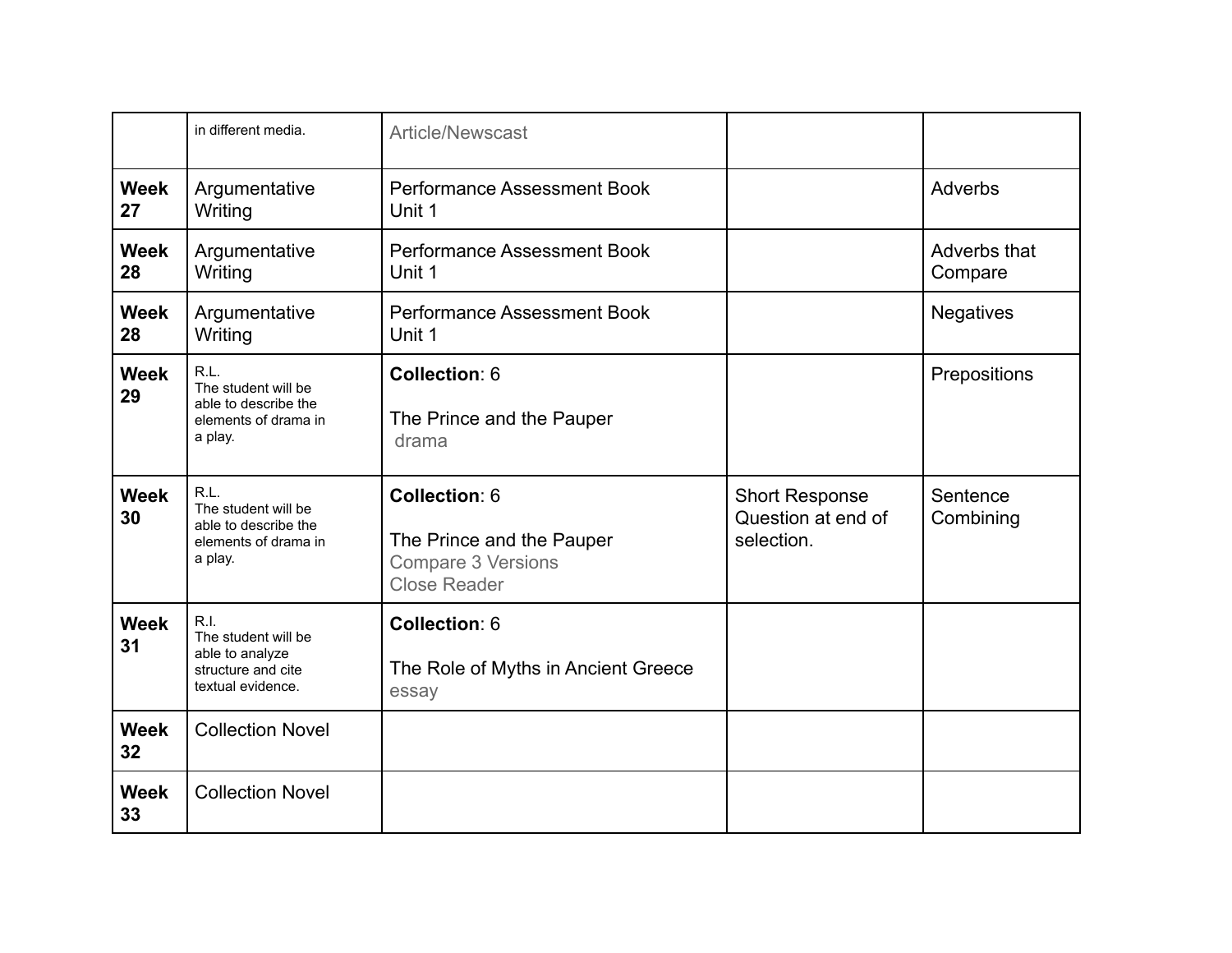|                   | in different media.                                                                       | <b>Article/Newscast</b>                                                                        |                                                           |                         |
|-------------------|-------------------------------------------------------------------------------------------|------------------------------------------------------------------------------------------------|-----------------------------------------------------------|-------------------------|
| <b>Week</b><br>27 | Argumentative<br>Writing                                                                  | <b>Performance Assessment Book</b><br>Unit 1                                                   |                                                           | Adverbs                 |
| <b>Week</b><br>28 | Argumentative<br>Writing                                                                  | <b>Performance Assessment Book</b><br>Unit 1                                                   |                                                           | Adverbs that<br>Compare |
| <b>Week</b><br>28 | Argumentative<br>Writing                                                                  | <b>Performance Assessment Book</b><br>Unit 1                                                   |                                                           | <b>Negatives</b>        |
| Week<br>29        | R.L.<br>The student will be<br>able to describe the<br>elements of drama in<br>a play.    | Collection: 6<br>The Prince and the Pauper<br>drama                                            |                                                           | Prepositions            |
| <b>Week</b><br>30 | R.L.<br>The student will be<br>able to describe the<br>elements of drama in<br>a play.    | Collection: 6<br>The Prince and the Pauper<br><b>Compare 3 Versions</b><br><b>Close Reader</b> | <b>Short Response</b><br>Question at end of<br>selection. | Sentence<br>Combining   |
| <b>Week</b><br>31 | R.I.<br>The student will be<br>able to analyze<br>structure and cite<br>textual evidence. | Collection: 6<br>The Role of Myths in Ancient Greece<br>essay                                  |                                                           |                         |
| <b>Week</b><br>32 | <b>Collection Novel</b>                                                                   |                                                                                                |                                                           |                         |
| <b>Week</b>       | <b>Collection Novel</b>                                                                   |                                                                                                |                                                           |                         |